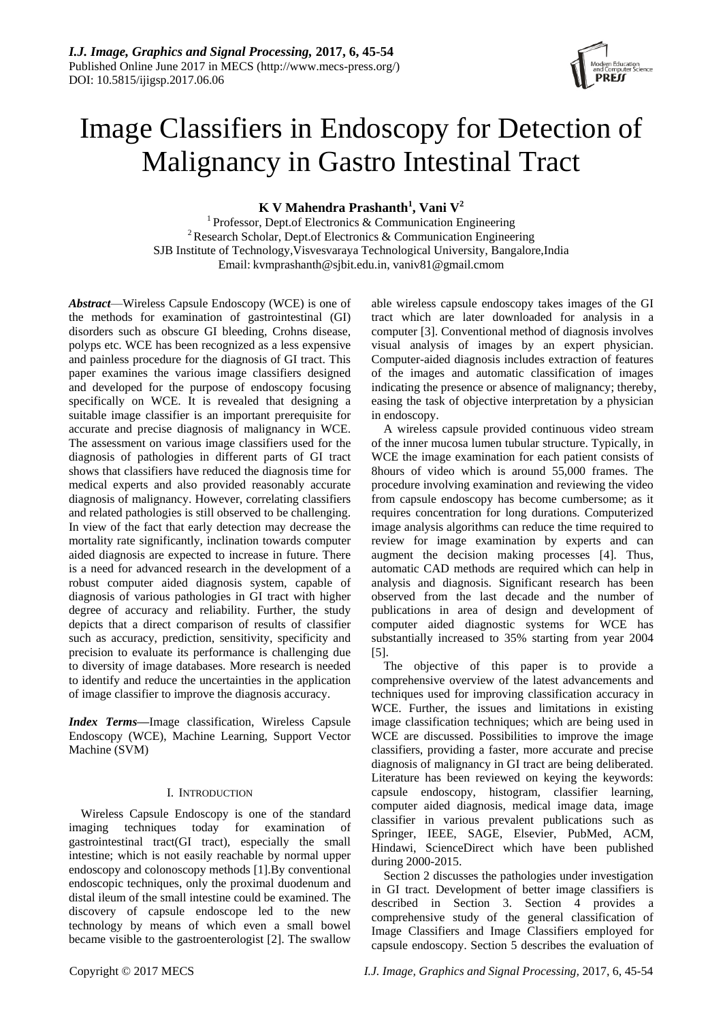# Image Classifiers in Endoscopy for Detection of Malignancy in Gastro Intestinal Tract

**K V Mahendra Prashanth<sup>1</sup> , Vani V<sup>2</sup>**

<sup>1</sup> Professor, Dept.of Electronics & Communication Engineering <sup>2</sup> Research Scholar, Dept.of Electronics & Communication Engineering SJB Institute of Technology,Visvesvaraya Technological University, Bangalore,India Email: [kvmprashanth@sjbit.edu.in,](mailto:kvmprashanth@sjbit.edu.in) vaniv81@gmail.cmom

*Abstract*—Wireless Capsule Endoscopy (WCE) is one of the methods for examination of gastrointestinal (GI) disorders such as obscure GI bleeding, Crohns disease, polyps etc. WCE has been recognized as a less expensive and painless procedure for the diagnosis of GI tract. This paper examines the various image classifiers designed and developed for the purpose of endoscopy focusing specifically on WCE. It is revealed that designing a suitable image classifier is an important prerequisite for accurate and precise diagnosis of malignancy in WCE. The assessment on various image classifiers used for the diagnosis of pathologies in different parts of GI tract shows that classifiers have reduced the diagnosis time for medical experts and also provided reasonably accurate diagnosis of malignancy. However, correlating classifiers and related pathologies is still observed to be challenging. In view of the fact that early detection may decrease the mortality rate significantly, inclination towards computer aided diagnosis are expected to increase in future. There is a need for advanced research in the development of a robust computer aided diagnosis system, capable of diagnosis of various pathologies in GI tract with higher degree of accuracy and reliability. Further, the study depicts that a direct comparison of results of classifier such as accuracy, prediction, sensitivity, specificity and precision to evaluate its performance is challenging due to diversity of image databases. More research is needed to identify and reduce the uncertainties in the application of image classifier to improve the diagnosis accuracy.

*Index Terms***—**Image classification, Wireless Capsule Endoscopy (WCE), Machine Learning, Support Vector Machine (SVM)

## I. INTRODUCTION

Wireless Capsule Endoscopy is one of the standard imaging techniques today for examination of gastrointestinal tract(GI tract), especially the small intestine; which is not easily reachable by normal upper endoscopy and colonoscopy methods [1].By conventional endoscopic techniques, only the proximal duodenum and distal ileum of the small intestine could be examined. The discovery of capsule endoscope led to the new technology by means of which even a small bowel became visible to the gastroenterologist [2]. The swallow

able wireless capsule endoscopy takes images of the GI tract which are later downloaded for analysis in a computer [3]. Conventional method of diagnosis involves visual analysis of images by an expert physician. Computer-aided diagnosis includes extraction of features of the images and automatic classification of images indicating the presence or absence of malignancy; thereby, easing the task of objective interpretation by a physician in endoscopy.

A wireless capsule provided continuous video stream of the inner mucosa lumen tubular structure. Typically, in WCE the image examination for each patient consists of 8hours of video which is around 55,000 frames. The procedure involving examination and reviewing the video from capsule endoscopy has become cumbersome; as it requires concentration for long durations. Computerized image analysis algorithms can reduce the time required to review for image examination by experts and can augment the decision making processes [4]. Thus, automatic CAD methods are required which can help in analysis and diagnosis. Significant research has been observed from the last decade and the number of publications in area of design and development of computer aided diagnostic systems for WCE has substantially increased to 35% starting from year 2004 [5].

The objective of this paper is to provide a comprehensive overview of the latest advancements and techniques used for improving classification accuracy in WCE. Further, the issues and limitations in existing image classification techniques; which are being used in WCE are discussed. Possibilities to improve the image classifiers, providing a faster, more accurate and precise diagnosis of malignancy in GI tract are being deliberated. Literature has been reviewed on keying the keywords: capsule endoscopy, histogram, classifier learning, computer aided diagnosis, medical image data, image classifier in various prevalent publications such as Springer, IEEE, SAGE, Elsevier, PubMed, ACM, Hindawi, ScienceDirect which have been published during 2000-2015.

Section 2 discusses the pathologies under investigation in GI tract. Development of better image classifiers is described in Section 3. Section 4 provides a comprehensive study of the general classification of Image Classifiers and Image Classifiers employed for capsule endoscopy. Section 5 describes the evaluation of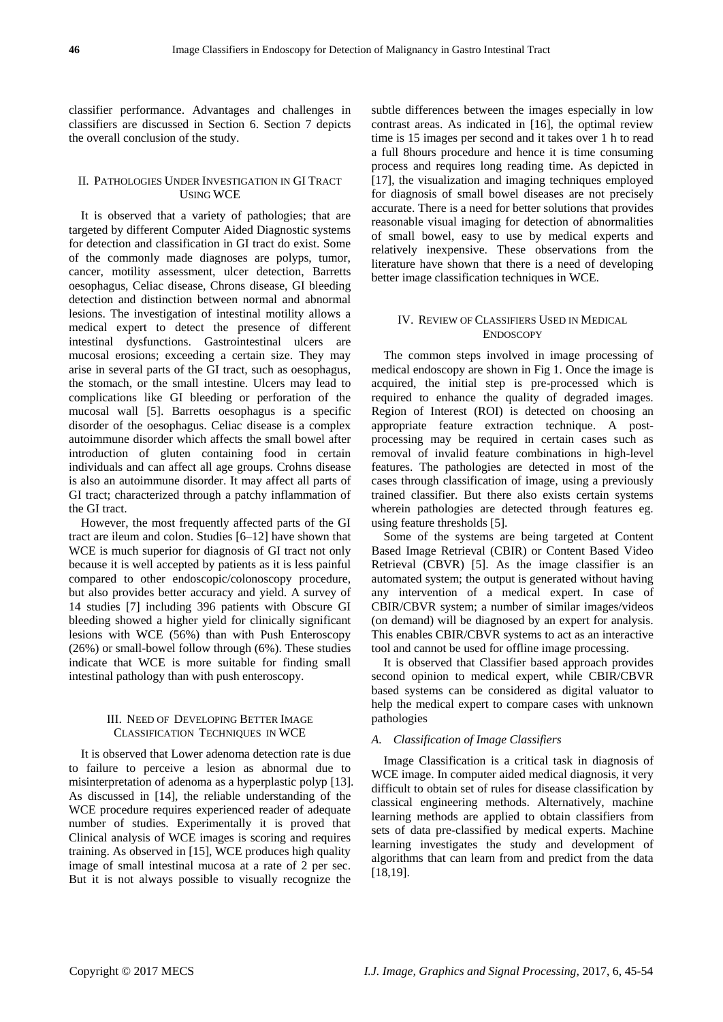classifier performance. Advantages and challenges in classifiers are discussed in Section 6. Section 7 depicts the overall conclusion of the study.

## II. PATHOLOGIES UNDER INVESTIGATION IN GI TRACT USING WCE

It is observed that a variety of pathologies; that are targeted by different Computer Aided Diagnostic systems for detection and classification in GI tract do exist. Some of the commonly made diagnoses are polyps, tumor, cancer, motility assessment, ulcer detection, Barretts oesophagus, Celiac disease, Chrons disease, GI bleeding detection and distinction between normal and abnormal lesions. The investigation of intestinal motility allows a medical expert to detect the presence of different intestinal dysfunctions. Gastrointestinal ulcers are mucosal erosions; exceeding a certain size. They may arise in several parts of the GI tract, such as oesophagus, the stomach, or the small intestine. Ulcers may lead to complications like GI bleeding or perforation of the mucosal wall [5]. Barretts oesophagus is a specific disorder of the oesophagus. Celiac disease is a complex autoimmune disorder which affects the small bowel after introduction of gluten containing food in certain individuals and can affect all age groups. Crohns disease is also an autoimmune disorder. It may affect all parts of GI tract; characterized through a patchy inflammation of the GI tract.

However, the most frequently affected parts of the GI tract are ileum and colon. Studies [6–12] have shown that WCE is much superior for diagnosis of GI tract not only because it is well accepted by patients as it is less painful compared to other endoscopic/colonoscopy procedure, but also provides better accuracy and yield. A survey of 14 studies [7] including 396 patients with Obscure GI bleeding showed a higher yield for clinically significant lesions with WCE (56%) than with Push Enteroscopy (26%) or small-bowel follow through (6%). These studies indicate that WCE is more suitable for finding small intestinal pathology than with push enteroscopy.

## III. NEED OF DEVELOPING BETTER IMAGE CLASSIFICATION TECHNIQUES IN WCE

It is observed that Lower adenoma detection rate is due to failure to perceive a lesion as abnormal due to misinterpretation of adenoma as a hyperplastic polyp [13]. As discussed in [14], the reliable understanding of the WCE procedure requires experienced reader of adequate number of studies. Experimentally it is proved that Clinical analysis of WCE images is scoring and requires training. As observed in [15], WCE produces high quality image of small intestinal mucosa at a rate of 2 per sec. But it is not always possible to visually recognize the

subtle differences between the images especially in low contrast areas. As indicated in [16], the optimal review time is 15 images per second and it takes over 1 h to read a full 8hours procedure and hence it is time consuming process and requires long reading time. As depicted in [17], the visualization and imaging techniques employed for diagnosis of small bowel diseases are not precisely accurate. There is a need for better solutions that provides reasonable visual imaging for detection of abnormalities of small bowel, easy to use by medical experts and relatively inexpensive. These observations from the literature have shown that there is a need of developing better image classification techniques in WCE.

# IV. REVIEW OF CLASSIFIERS USED IN MEDICAL ENDOSCOPY

The common steps involved in image processing of medical endoscopy are shown in Fig 1. Once the image is acquired, the initial step is pre-processed which is required to enhance the quality of degraded images. Region of Interest (ROI) is detected on choosing an appropriate feature extraction technique. A postprocessing may be required in certain cases such as removal of invalid feature combinations in high-level features. The pathologies are detected in most of the cases through classification of image, using a previously trained classifier. But there also exists certain systems wherein pathologies are detected through features eg. using feature thresholds [5].

Some of the systems are being targeted at Content Based Image Retrieval (CBIR) or Content Based Video Retrieval (CBVR) [5]. As the image classifier is an automated system; the output is generated without having any intervention of a medical expert. In case of CBIR/CBVR system; a number of similar images/videos (on demand) will be diagnosed by an expert for analysis. This enables CBIR/CBVR systems to act as an interactive tool and cannot be used for offline image processing.

It is observed that Classifier based approach provides second opinion to medical expert, while CBIR/CBVR based systems can be considered as digital valuator to help the medical expert to compare cases with unknown pathologies

## *A. Classification of Image Classifiers*

Image Classification is a critical task in diagnosis of WCE image. In computer aided medical diagnosis, it very difficult to obtain set of rules for disease classification by classical engineering methods. Alternatively, machine learning methods are applied to obtain classifiers from sets of data pre-classified by medical experts. Machine learning investigates the study and development of algorithms that can learn from and predict from the data [18,19].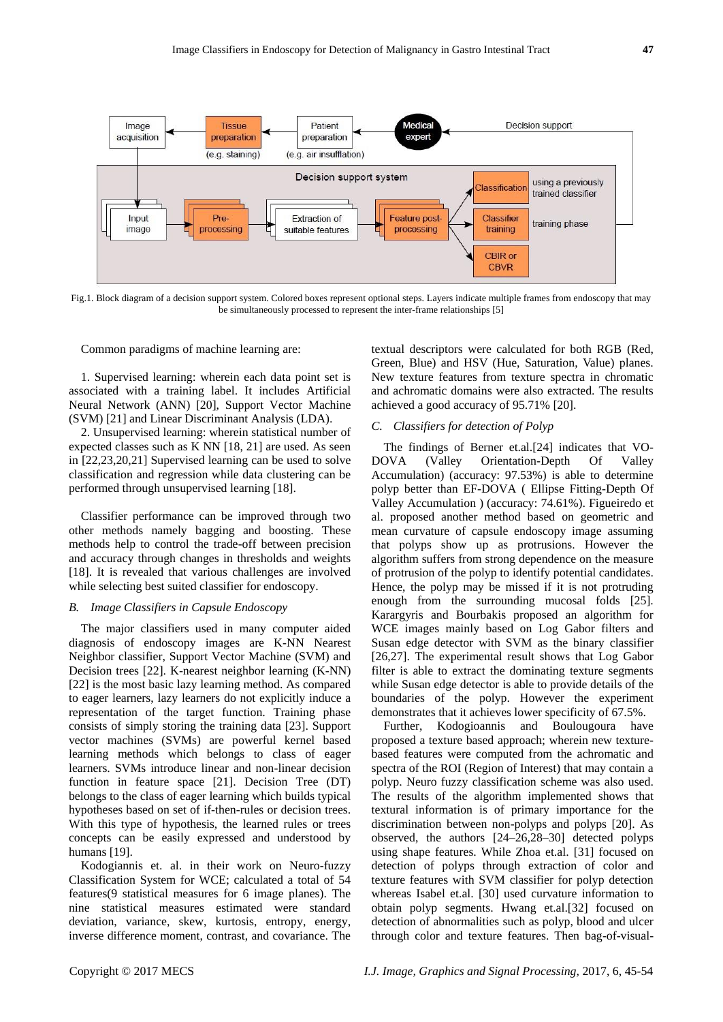

Fig.1. Block diagram of a decision support system. Colored boxes represent optional steps. Layers indicate multiple frames from endoscopy that may be simultaneously processed to represent the inter-frame relationships [5]

Common paradigms of machine learning are:

1. Supervised learning: wherein each data point set is associated with a training label. It includes Artificial Neural Network (ANN) [20], Support Vector Machine (SVM) [21] and Linear Discriminant Analysis (LDA).

2. Unsupervised learning: wherein statistical number of expected classes such as K NN [18, 21] are used. As seen in [22,23,20,21] Supervised learning can be used to solve classification and regression while data clustering can be performed through unsupervised learning [18].

Classifier performance can be improved through two other methods namely bagging and boosting. These methods help to control the trade-off between precision and accuracy through changes in thresholds and weights [18]. It is revealed that various challenges are involved while selecting best suited classifier for endoscopy.

# *B. Image Classifiers in Capsule Endoscopy*

The major classifiers used in many computer aided diagnosis of endoscopy images are K-NN Nearest Neighbor classifier, Support Vector Machine (SVM) and Decision trees [22]. K-nearest neighbor learning (K-NN) [22] is the most basic lazy learning method. As compared to eager learners, lazy learners do not explicitly induce a representation of the target function. Training phase consists of simply storing the training data [23]. Support vector machines (SVMs) are powerful kernel based learning methods which belongs to class of eager learners. SVMs introduce linear and non-linear decision function in feature space [21]. Decision Tree (DT) belongs to the class of eager learning which builds typical hypotheses based on set of if-then-rules or decision trees. With this type of hypothesis, the learned rules or trees concepts can be easily expressed and understood by humans [19].

Kodogiannis et. al. in their work on Neuro-fuzzy Classification System for WCE; calculated a total of 54 features(9 statistical measures for 6 image planes). The nine statistical measures estimated were standard deviation, variance, skew, kurtosis, entropy, energy, inverse difference moment, contrast, and covariance. The textual descriptors were calculated for both RGB (Red, Green, Blue) and HSV (Hue, Saturation, Value) planes. New texture features from texture spectra in chromatic and achromatic domains were also extracted. The results achieved a good accuracy of 95.71% [20].

## *C. Classifiers for detection of Polyp*

The findings of Berner et.al.[24] indicates that VO-DOVA (Valley Orientation-Depth Of Valley Accumulation) (accuracy: 97.53%) is able to determine polyp better than EF-DOVA ( Ellipse Fitting-Depth Of Valley Accumulation ) (accuracy: 74.61%). Figueiredo et al. proposed another method based on geometric and mean curvature of capsule endoscopy image assuming that polyps show up as protrusions. However the algorithm suffers from strong dependence on the measure of protrusion of the polyp to identify potential candidates. Hence, the polyp may be missed if it is not protruding enough from the surrounding mucosal folds [25]. Karargyris and Bourbakis proposed an algorithm for WCE images mainly based on Log Gabor filters and Susan edge detector with SVM as the binary classifier [26,27]. The experimental result shows that Log Gabor filter is able to extract the dominating texture segments while Susan edge detector is able to provide details of the boundaries of the polyp. However the experiment demonstrates that it achieves lower specificity of 67.5%.

Further, Kodogioannis and Boulougoura have proposed a texture based approach; wherein new texturebased features were computed from the achromatic and spectra of the ROI (Region of Interest) that may contain a polyp. Neuro fuzzy classification scheme was also used. The results of the algorithm implemented shows that textural information is of primary importance for the discrimination between non-polyps and polyps [20]. As observed, the authors [24–26,28–30] detected polyps using shape features. While Zhoa et.al. [31] focused on detection of polyps through extraction of color and texture features with SVM classifier for polyp detection whereas Isabel et.al. [30] used curvature information to obtain polyp segments. Hwang et.al.[32] focused on detection of abnormalities such as polyp, blood and ulcer through color and texture features. Then bag-of-visual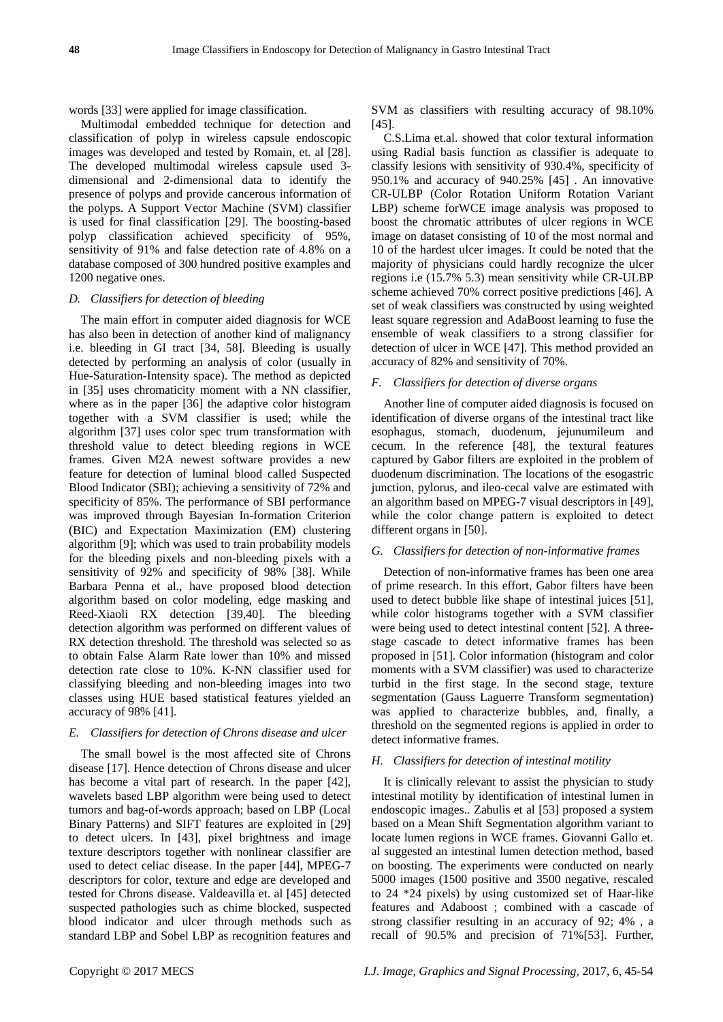words [33] were applied for image classification.

Multimodal embedded technique for detection and classification of polyp in wireless capsule endoscopic images was developed and tested by Romain, et. al [28]. The developed multimodal wireless capsule used 3 dimensional and 2-dimensional data to identify the presence of polyps and provide cancerous information of the polyps. A Support Vector Machine (SVM) classifier is used for final classification [29]. The boosting-based polyp classification achieved specificity of 95%, sensitivity of 91% and false detection rate of 4.8% on a database composed of 300 hundred positive examples and 1200 negative ones.

## *D. Classifiers for detection of bleeding*

The main effort in computer aided diagnosis for WCE has also been in detection of another kind of malignancy i.e. bleeding in GI tract [34, 58]. Bleeding is usually detected by performing an analysis of color (usually in Hue-Saturation-Intensity space). The method as depicted in [35] uses chromaticity moment with a NN classifier, where as in the paper [36] the adaptive color histogram together with a SVM classifier is used; while the algorithm [37] uses color spec trum transformation with threshold value to detect bleeding regions in WCE frames. Given M2A newest software provides a new feature for detection of luminal blood called Suspected Blood Indicator (SBI); achieving a sensitivity of 72% and specificity of 85%. The performance of SBI performance was improved through Bayesian In-formation Criterion (BIC) and Expectation Maximization (EM) clustering algorithm [9]; which was used to train probability models for the bleeding pixels and non-bleeding pixels with a sensitivity of 92% and specificity of 98% [38]. While Barbara Penna et al., have proposed blood detection algorithm based on color modeling, edge masking and Reed-Xiaoli RX detection [39,40]. The bleeding detection algorithm was performed on different values of RX detection threshold. The threshold was selected so as to obtain False Alarm Rate lower than 10% and missed detection rate close to 10%. K-NN classifier used for classifying bleeding and non-bleeding images into two classes using HUE based statistical features yielded an accuracy of 98% [41].

### *E. Classifiers for detection of Chrons disease and ulcer*

The small bowel is the most affected site of Chrons disease [17]. Hence detection of Chrons disease and ulcer has become a vital part of research. In the paper [42], wavelets based LBP algorithm were being used to detect tumors and bag-of-words approach; based on LBP (Local Binary Patterns) and SIFT features are exploited in [29] to detect ulcers. In [43], pixel brightness and image texture descriptors together with nonlinear classifier are used to detect celiac disease. In the paper [44], MPEG-7 descriptors for color, texture and edge are developed and tested for Chrons disease. Valdeavilla et. al [45] detected suspected pathologies such as chime blocked, suspected blood indicator and ulcer through methods such as standard LBP and Sobel LBP as recognition features and SVM as classifiers with resulting accuracy of 98.10% [45].

C.S.Lima et.al. showed that color textural information using Radial basis function as classifier is adequate to classify lesions with sensitivity of 930.4%, specificity of 950.1% and accuracy of 940.25% [45] . An innovative CR-ULBP (Color Rotation Uniform Rotation Variant LBP) scheme forWCE image analysis was proposed to boost the chromatic attributes of ulcer regions in WCE image on dataset consisting of 10 of the most normal and 10 of the hardest ulcer images. It could be noted that the majority of physicians could hardly recognize the ulcer regions i.e (15.7% 5.3) mean sensitivity while CR-ULBP scheme achieved 70% correct positive predictions [46]. A set of weak classifiers was constructed by using weighted least square regression and AdaBoost learning to fuse the ensemble of weak classifiers to a strong classifier for detection of ulcer in WCE [47]. This method provided an accuracy of 82% and sensitivity of 70%.

#### *F. Classifiers for detection of diverse organs*

Another line of computer aided diagnosis is focused on identification of diverse organs of the intestinal tract like esophagus, stomach, duodenum, jejunumileum and cecum. In the reference [48], the textural features captured by Gabor filters are exploited in the problem of duodenum discrimination. The locations of the esogastric junction, pylorus, and ileo-cecal valve are estimated with an algorithm based on MPEG-7 visual descriptors in [49], while the color change pattern is exploited to detect different organs in [50].

## *G. Classifiers for detection of non-informative frames*

Detection of non-informative frames has been one area of prime research. In this effort, Gabor filters have been used to detect bubble like shape of intestinal juices [51], while color histograms together with a SVM classifier were being used to detect intestinal content [52]. A threestage cascade to detect informative frames has been proposed in [51]. Color information (histogram and color moments with a SVM classifier) was used to characterize turbid in the first stage. In the second stage, texture segmentation (Gauss Laguerre Transform segmentation) was applied to characterize bubbles, and, finally, a threshold on the segmented regions is applied in order to detect informative frames.

## *H. Classifiers for detection of intestinal motility*

It is clinically relevant to assist the physician to study intestinal motility by identification of intestinal lumen in endoscopic images.. Zabulis et al [53] proposed a system based on a Mean Shift Segmentation algorithm variant to locate lumen regions in WCE frames. Giovanni Gallo et. al suggested an intestinal lumen detection method, based on boosting. The experiments were conducted on nearly 5000 images (1500 positive and 3500 negative, rescaled to 24 \*24 pixels) by using customized set of Haar-like features and Adaboost ; combined with a cascade of strong classifier resulting in an accuracy of 92; 4% , a recall of 90.5% and precision of 71%[53]. Further,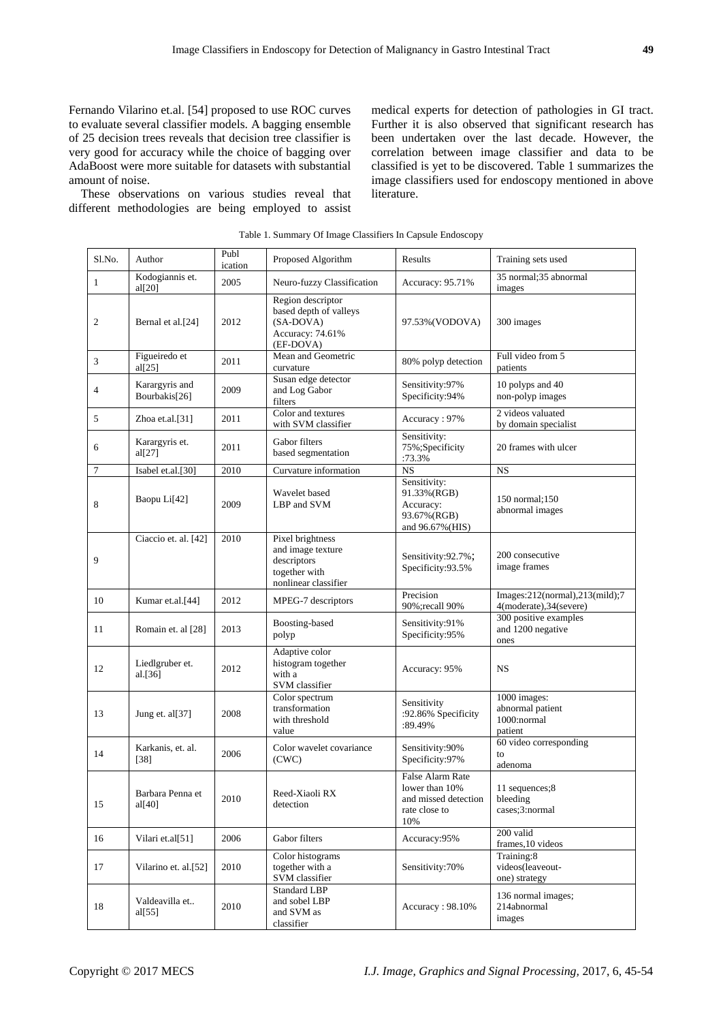Fernando Vilarino et.al. [54] proposed to use ROC curves to evaluate several classifier models. A bagging ensemble of 25 decision trees reveals that decision tree classifier is very good for accuracy while the choice of bagging over AdaBoost were more suitable for datasets with substantial amount of noise.

These observations on various studies reveal that different methodologies are being employed to assist medical experts for detection of pathologies in GI tract. Further it is also observed that significant research has been undertaken over the last decade. However, the correlation between image classifier and data to be classified is yet to be discovered. Table 1 summarizes the image classifiers used for endoscopy mentioned in above literature.

| Sl.No.       | Author                          | Publ<br>ication | Proposed Algorithm                                                                            | Results                                                                            | Training sets used                                         |
|--------------|---------------------------------|-----------------|-----------------------------------------------------------------------------------------------|------------------------------------------------------------------------------------|------------------------------------------------------------|
| $\mathbf{1}$ | Kodogiannis et.<br>al[20]       | 2005            | Neuro-fuzzy Classification                                                                    | Accuracy: 95.71%                                                                   | 35 normal;35 abnormal<br>images                            |
| 2            | Bernal et al.[24]               | 2012            | Region descriptor<br>based depth of valleys<br>(SA-DOVA)<br>Accuracy: 74.61%<br>(EF-DOVA)     | 97.53%(VODOVA)                                                                     | 300 images                                                 |
| 3            | Figueiredo et<br>al[25]         | 2011            | Mean and Geometric<br>curvature                                                               | 80% polyp detection                                                                | Full video from 5<br>patients                              |
| 4            | Karargyris and<br>Bourbakis[26] | 2009            | Susan edge detector<br>and Log Gabor<br>filters                                               | Sensitivity:97%<br>Specificity:94%                                                 | 10 polyps and 40<br>non-polyp images                       |
| 5            | Zhoa et.al.[31]                 | 2011            | Color and textures<br>with SVM classifier                                                     | Accuracy: 97%                                                                      | 2 videos valuated<br>by domain specialist                  |
| 6            | Karargyris et.<br>al[27]        | 2011            | Gabor filters<br>based segmentation                                                           | Sensitivity:<br>75%;Specificity<br>:73.3%                                          | 20 frames with ulcer                                       |
| $\tau$       | Isabel et.al.[30]               | 2010            | Curvature information                                                                         | $\overline{\text{NS}}$                                                             | <b>NS</b>                                                  |
| 8            | Baopu Li[42]                    | 2009            | Wavelet based<br>LBP and SVM                                                                  | Sensitivity:<br>91.33%(RGB)<br>Accuracy:<br>93.67%(RGB)<br>and 96.67% (HIS)        | 150 normal:150<br>abnormal images                          |
| 9            | Ciaccio et. al. [42]            | 2010            | Pixel brightness<br>and image texture<br>descriptors<br>together with<br>nonlinear classifier | Sensitivity:92.7%;<br>Specificity:93.5%                                            | 200 consecutive<br>image frames                            |
| 10           | Kumar et.al. <sup>[44]</sup>    | 2012            | MPEG-7 descriptors                                                                            | Precision<br>90%; recall 90%                                                       | Images:212(normal),213(mild);7<br>4(moderate), 34(severe)  |
| 11           | Romain et. al [28]              | 2013            | Boosting-based<br>polyp                                                                       | Sensitivity:91%<br>Specificity:95%                                                 | 300 positive examples<br>and 1200 negative<br>ones         |
| 12           | Liedlgruber et.<br>al. $[36]$   | 2012            | Adaptive color<br>histogram together<br>with a<br>SVM classifier                              | Accuracy: 95%                                                                      | <b>NS</b>                                                  |
| 13           | Jung et. al[37]                 | 2008            | Color spectrum<br>transformation<br>with threshold<br>value                                   | Sensitivity<br>:92.86% Specificity<br>:89.49%                                      | 1000 images:<br>abnormal patient<br>1000:normal<br>patient |
| 14           | Karkanis, et. al.<br>$[38]$     | 2006            | Color wavelet covariance<br>(CWC)                                                             | Sensitivity:90%<br>Specificity:97%                                                 | 60 video corresponding<br>to<br>adenoma                    |
| 15           | Barbara Penna et<br>al[40]      | 2010            | Reed-Xiaoli RX<br>detection                                                                   | False Alarm Rate<br>lower than 10%<br>and missed detection<br>rate close to<br>10% | 11 sequences:8<br>bleeding<br>cases;3:normal               |
| 16           | Vilari et.al[51]                | 2006            | Gabor filters                                                                                 | Accuracy:95%                                                                       | 200 valid<br>frames, 10 videos                             |
| 17           | Vilarino et. al.[52]            | 2010            | Color histograms<br>together with a<br>SVM classifier                                         | Sensitivity:70%                                                                    | Training:8<br>videos(leaveout-<br>one) strategy            |
| 18           | Valdeavilla et<br>al[55]        | 2010            | <b>Standard LBP</b><br>and sobel LBP<br>and SVM as<br>classifier                              | Accuracy: 98.10%                                                                   | 136 normal images;<br>214abnormal<br>images                |

Table 1. Summary Of Image Classifiers In Capsule Endoscopy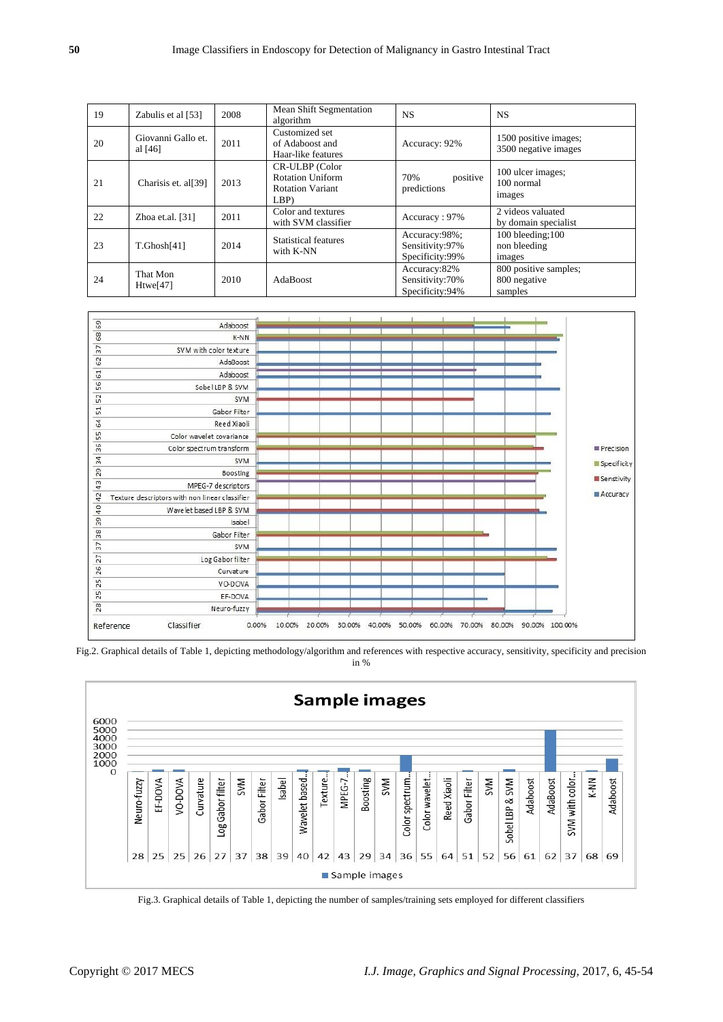| 19 | Zabulis et al [53]              | 2008 | Mean Shift Segmentation<br>algorithm                                 | NS.                                                 | <b>NS</b>                                        |
|----|---------------------------------|------|----------------------------------------------------------------------|-----------------------------------------------------|--------------------------------------------------|
| 20 | Giovanni Gallo et.<br>al $[46]$ | 2011 | Customized set<br>of Adaboost and<br>Haar-like features              | Accuracy: 92%                                       | 1500 positive images;<br>3500 negative images    |
| 21 | Charisis et. al[39]             | 2013 | CR-ULBP (Color<br>Rotation Uniform<br><b>Rotation Variant</b><br>LBP | positive<br>70%<br>predictions                      | 100 ulcer images;<br>100 normal<br>images        |
| 22 | Zhoa et.al. $[31]$              | 2011 | Color and textures<br>with SVM classifier                            | Accuracy: 97%                                       | 2 videos valuated<br>by domain specialist        |
| 23 | T.Ghosh[41]                     | 2014 | <b>Statistical features</b><br>with K-NN                             | Accuracy:98%;<br>Sensitivity:97%<br>Specificity:99% | 100 bleeding:100<br>non bleeding<br>images       |
| 24 | That Mon<br>$H$ twe $[47]$      | 2010 | AdaBoost                                                             | Accuracy:82%<br>Sensitivity: 70%<br>Specificity:94% | 800 positive samples;<br>800 negative<br>samples |







Fig.3. Graphical details of Table 1, depicting the number of samples/training sets employed for different classifiers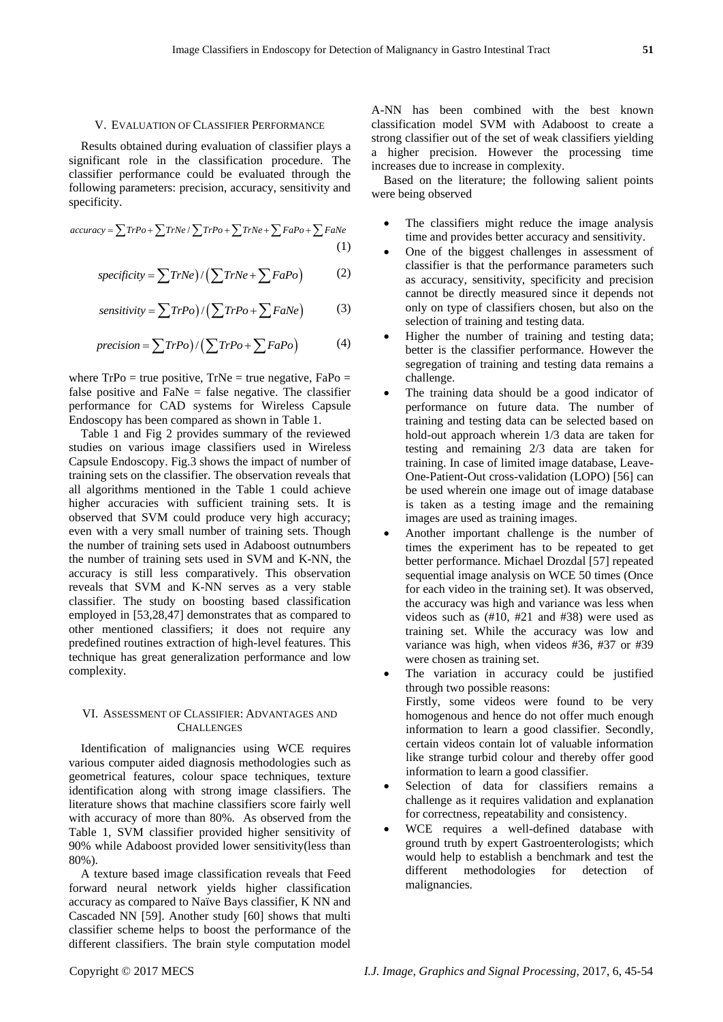#### V. EVALUATION OF CLASSIFIER PERFORMANCE

Results obtained during evaluation of classifier plays a significant role in the classification procedure. The classifier performance could be evaluated through the following parameters: precision, accuracy, sensitivity and we<br>specificity.<br> $accuracy = \sum TrPo + \sum TrNe / \sum TrPo + \sum TrNe + \sum FaPo + \sum FaNe$  (1) specificity.

$$
accuracy = \sum TrPo + \sum TrNe / \sum TrPo + \sum TrNe + \sum FaPo + \sum FaNe
$$
\n(1)

(1)  
\n
$$
specificity = \sum TrNe \Big) / \Big( \sum TrNe + \sum FaPo \Big) \tag{2}
$$

$$
specificity = \sum TrNe \left( \sum TrNe + \sum FaPo \right) \tag{2}
$$
\n
$$
sensitivity = \sum TrPo \left( \sum TrPo + \sum FaNe \right) \tag{3}
$$

$$
sensitivity = \sum (TPO) / (\sum (TPO + \sum FaNe)) \tag{3}
$$
\n
$$
precision = \sum (TPO) / (\sum (TPO + \sum FaPo)) \tag{4}
$$

where  $TrPo = true$  positive,  $TrNe = true$  negative,  $FaPo =$ false positive and  $FaNe = false$  negative. The classifier performance for CAD systems for Wireless Capsule Endoscopy has been compared as shown in Table 1.

Table 1 and Fig 2 provides summary of the reviewed studies on various image classifiers used in Wireless Capsule Endoscopy. Fig.3 shows the impact of number of training sets on the classifier. The observation reveals that all algorithms mentioned in the Table 1 could achieve higher accuracies with sufficient training sets. It is observed that SVM could produce very high accuracy; even with a very small number of training sets. Though the number of training sets used in Adaboost outnumbers the number of training sets used in SVM and K-NN, the accuracy is still less comparatively. This observation reveals that SVM and K-NN serves as a very stable classifier. The study on boosting based classification employed in [53,28,47] demonstrates that as compared to other mentioned classifiers; it does not require any predefined routines extraction of high-level features. This technique has great generalization performance and low complexity.

# VI. ASSESSMENT OF CLASSIFIER: ADVANTAGES AND **CHALLENGES**

Identification of malignancies using WCE requires various computer aided diagnosis methodologies such as geometrical features, colour space techniques, texture identification along with strong image classifiers. The literature shows that machine classifiers score fairly well with accuracy of more than 80%. As observed from the Table 1, SVM classifier provided higher sensitivity of 90% while Adaboost provided lower sensitivity(less than 80%).

A texture based image classification reveals that Feed forward neural network yields higher classification accuracy as compared to Na  $\ddot{\text{v}}$ e Bays classifier, K NN and Cascaded NN [59]. Another study [60] shows that multi classifier scheme helps to boost the performance of the different classifiers. The brain style computation model A-NN has been combined with the best known classification model SVM with Adaboost to create a strong classifier out of the set of weak classifiers yielding a higher precision. However the processing time increases due to increase in complexity.

Based on the literature; the following salient points were being observed

- The classifiers might reduce the image analysis time and provides better accuracy and sensitivity.
- One of the biggest challenges in assessment of classifier is that the performance parameters such as accuracy, sensitivity, specificity and precision cannot be directly measured since it depends not only on type of classifiers chosen, but also on the selection of training and testing data.
- Higher the number of training and testing data; better is the classifier performance. However the segregation of training and testing data remains a challenge.
- The training data should be a good indicator of performance on future data. The number of training and testing data can be selected based on hold-out approach wherein 1/3 data are taken for testing and remaining 2/3 data are taken for training. In case of limited image database, Leave-One-Patient-Out cross-validation (LOPO) [56] can be used wherein one image out of image database is taken as a testing image and the remaining images are used as training images.
- Another important challenge is the number of times the experiment has to be repeated to get better performance. Michael Drozdal [57] repeated sequential image analysis on WCE 50 times (Once for each video in the training set). It was observed, the accuracy was high and variance was less when videos such as (#10, #21 and #38) were used as training set. While the accuracy was low and variance was high, when videos #36, #37 or #39 were chosen as training set.
- The variation in accuracy could be justified through two possible reasons: Firstly, some videos were found to be very homogenous and hence do not offer much enough information to learn a good classifier. Secondly, certain videos contain lot of valuable information like strange turbid colour and thereby offer good information to learn a good classifier.
- Selection of data for classifiers remains a challenge as it requires validation and explanation for correctness, repeatability and consistency.
- WCE requires a well-defined database with ground truth by expert Gastroenterologists; which would help to establish a benchmark and test the different methodologies for detection of malignancies.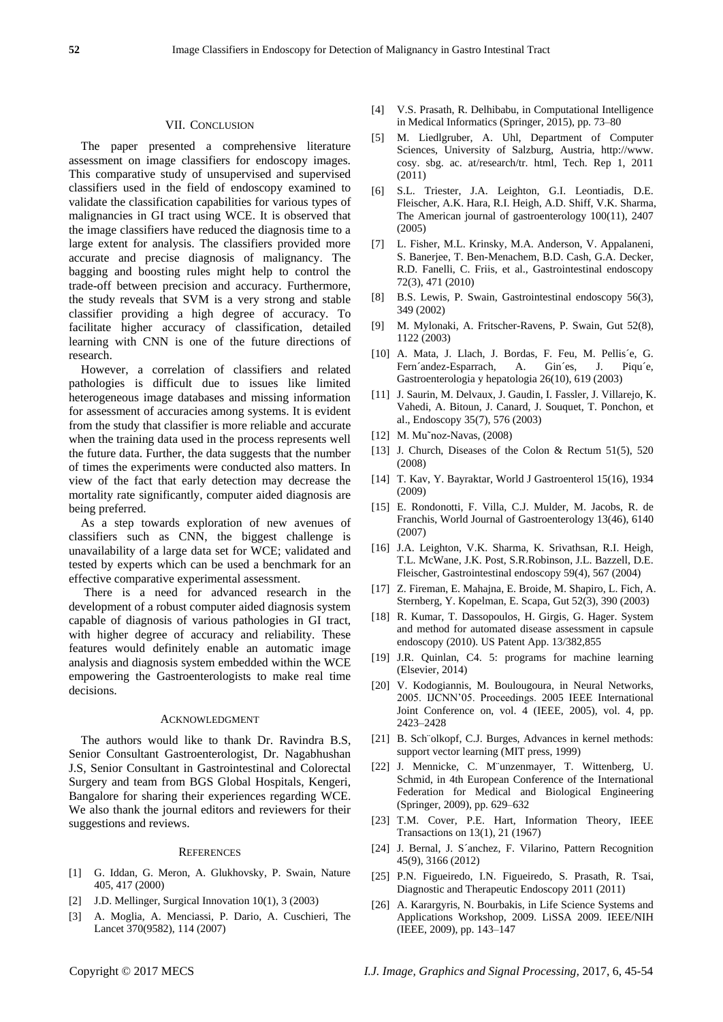## VII. CONCLUSION

The paper presented a comprehensive literature assessment on image classifiers for endoscopy images. This comparative study of unsupervised and supervised classifiers used in the field of endoscopy examined to validate the classification capabilities for various types of malignancies in GI tract using WCE. It is observed that the image classifiers have reduced the diagnosis time to a large extent for analysis. The classifiers provided more accurate and precise diagnosis of malignancy. The bagging and boosting rules might help to control the trade-off between precision and accuracy. Furthermore, the study reveals that SVM is a very strong and stable classifier providing a high degree of accuracy. To facilitate higher accuracy of classification, detailed learning with CNN is one of the future directions of research.

However, a correlation of classifiers and related pathologies is difficult due to issues like limited heterogeneous image databases and missing information for assessment of accuracies among systems. It is evident from the study that classifier is more reliable and accurate when the training data used in the process represents well the future data. Further, the data suggests that the number of times the experiments were conducted also matters. In view of the fact that early detection may decrease the mortality rate significantly, computer aided diagnosis are being preferred.

As a step towards exploration of new avenues of classifiers such as CNN, the biggest challenge is unavailability of a large data set for WCE; validated and tested by experts which can be used a benchmark for an effective comparative experimental assessment.

There is a need for advanced research in the development of a robust computer aided diagnosis system capable of diagnosis of various pathologies in GI tract, with higher degree of accuracy and reliability. These features would definitely enable an automatic image analysis and diagnosis system embedded within the WCE empowering the Gastroenterologists to make real time decisions.

#### ACKNOWLEDGMENT

The authors would like to thank Dr. Ravindra B.S, Senior Consultant Gastroenterologist, Dr. Nagabhushan J.S, Senior Consultant in Gastrointestinal and Colorectal Surgery and team from BGS Global Hospitals, Kengeri, Bangalore for sharing their experiences regarding WCE. We also thank the journal editors and reviewers for their suggestions and reviews.

#### **REFERENCES**

- [1] G. Iddan, G. Meron, A. Glukhovsky, P. Swain, Nature 405, 417 (2000)
- [2] J.D. Mellinger, Surgical Innovation 10(1), 3 (2003)
- [3] A. Moglia, A. Menciassi, P. Dario, A. Cuschieri, The Lancet 370(9582), 114 (2007)
- [4] V.S. Prasath, R. Delhibabu, in Computational Intelligence in Medical Informatics (Springer, 2015), pp. 73–80
- [5] M. Liedlgruber, A. Uhl, Department of Computer Sciences, University of Salzburg, Austria, http://www. cosy. sbg. ac. at/research/tr. html, Tech. Rep 1, 2011 (2011)
- [6] S.L. Triester, J.A. Leighton, G.I. Leontiadis, D.E. Fleischer, A.K. Hara, R.I. Heigh, A.D. Shiff, V.K. Sharma, The American journal of gastroenterology 100(11), 2407 (2005)
- [7] L. Fisher, M.L. Krinsky, M.A. Anderson, V. Appalaneni, S. Banerjee, T. Ben-Menachem, B.D. Cash, G.A. Decker, R.D. Fanelli, C. Friis, et al., Gastrointestinal endoscopy 72(3), 471 (2010)
- [8] B.S. Lewis, P. Swain, Gastrointestinal endoscopy 56(3), 349 (2002)
- [9] M. Mylonaki, A. Fritscher-Ravens, P. Swain, Gut 52(8), 1122 (2003)
- [10] A. Mata, J. Llach, J. Bordas, F. Feu, M. Pellis é, G. Fern andez-Esparrach, A. Gin es, J. Piqu e, Gastroenterologia y hepatologia 26(10), 619 (2003)
- [11] J. Saurin, M. Delvaux, J. Gaudin, I. Fassler, J. Villarejo, K. Vahedi, A. Bitoun, J. Canard, J. Souquet, T. Ponchon, et al., Endoscopy 35(7), 576 (2003)
- [12] M. Mu~noz-Navas, (2008)
- [13] J. Church, Diseases of the Colon & Rectum 51(5), 520 (2008)
- [14] T. Kav, Y. Bayraktar, World J Gastroenterol 15(16), 1934 (2009)
- [15] E. Rondonotti, F. Villa, C.J. Mulder, M. Jacobs, R. de Franchis, World Journal of Gastroenterology 13(46), 6140 (2007)
- [16] J.A. Leighton, V.K. Sharma, K. Srivathsan, R.I. Heigh, T.L. McWane, J.K. Post, S.R.Robinson, J.L. Bazzell, D.E. Fleischer, Gastrointestinal endoscopy 59(4), 567 (2004)
- [17] Z. Fireman, E. Mahajna, E. Broide, M. Shapiro, L. Fich, A. Sternberg, Y. Kopelman, E. Scapa, Gut 52(3), 390 (2003)
- [18] R. Kumar, T. Dassopoulos, H. Girgis, G. Hager. System and method for automated disease assessment in capsule endoscopy (2010). US Patent App. 13/382,855
- [19] J.R. Quinlan, C4. 5: programs for machine learning (Elsevier, 2014)
- [20] V. Kodogiannis, M. Boulougoura, in Neural Networks, 2005. IJCNN'05. Proceedings. 2005 IEEE International Joint Conference on, vol. 4 (IEEE, 2005), vol. 4, pp. 2423–2428
- [21] B. Sch ölkopf, C.J. Burges, Advances in kernel methods: support vector learning (MIT press, 1999)
- [22] J. Mennicke, C. M¨unzenmayer, T. Wittenberg, U. Schmid, in 4th European Conference of the International Federation for Medical and Biological Engineering (Springer, 2009), pp. 629–632
- [23] T.M. Cover, P.E. Hart, Information Theory, IEEE Transactions on 13(1), 21 (1967)
- [24] J. Bernal, J. S anchez, F. Vilarino, Pattern Recognition 45(9), 3166 (2012)
- [25] P.N. Figueiredo, I.N. Figueiredo, S. Prasath, R. Tsai, Diagnostic and Therapeutic Endoscopy 2011 (2011)
- [26] A. Karargyris, N. Bourbakis, in Life Science Systems and Applications Workshop, 2009. LiSSA 2009. IEEE/NIH (IEEE, 2009), pp. 143–147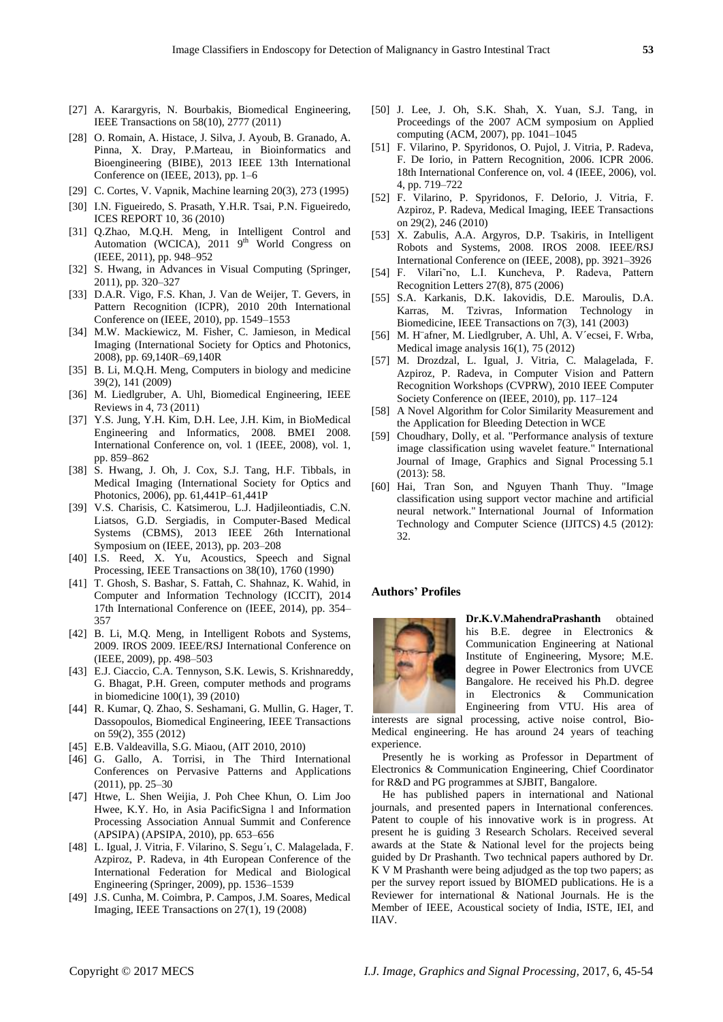- [27] A. Karargyris, N. Bourbakis, Biomedical Engineering, IEEE Transactions on 58(10), 2777 (2011)
- [28] O. Romain, A. Histace, J. Silva, J. Ayoub, B. Granado, A. Pinna, X. Dray, P.Marteau, in Bioinformatics and Bioengineering (BIBE), 2013 IEEE 13th International Conference on (IEEE, 2013), pp. 1–6
- [29] C. Cortes, V. Vapnik, Machine learning 20(3), 273 (1995)
- [30] I.N. Figueiredo, S. Prasath, Y.H.R. Tsai, P.N. Figueiredo, ICES REPORT 10, 36 (2010)
- [31] Q.Zhao, M.Q.H. Meng, in Intelligent Control and Automation (WCICA),  $2011$  9<sup>th</sup> World Congress on (IEEE, 2011), pp. 948–952
- [32] S. Hwang, in Advances in Visual Computing (Springer, 2011), pp. 320–327
- [33] D.A.R. Vigo, F.S. Khan, J. Van de Weijer, T. Gevers, in Pattern Recognition (ICPR), 2010 20th International Conference on (IEEE, 2010), pp. 1549–1553
- [34] M.W. Mackiewicz, M. Fisher, C. Jamieson, in Medical Imaging (International Society for Optics and Photonics, 2008), pp. 69,140R–69,140R
- [35] B. Li, M.Q.H. Meng, Computers in biology and medicine 39(2), 141 (2009)
- [36] M. Liedlgruber, A. Uhl, Biomedical Engineering, IEEE Reviews in 4, 73 (2011)
- [37] Y.S. Jung, Y.H. Kim, D.H. Lee, J.H. Kim, in BioMedical Engineering and Informatics, 2008. BMEI 2008. International Conference on, vol. 1 (IEEE, 2008), vol. 1, pp. 859–862
- [38] S. Hwang, J. Oh, J. Cox, S.J. Tang, H.F. Tibbals, in Medical Imaging (International Society for Optics and Photonics, 2006), pp. 61,441P–61,441P
- [39] V.S. Charisis, C. Katsimerou, L.J. Hadjileontiadis, C.N. Liatsos, G.D. Sergiadis, in Computer-Based Medical Systems (CBMS), 2013 IEEE 26th International Symposium on (IEEE, 2013), pp. 203–208
- [40] I.S. Reed, X. Yu, Acoustics, Speech and Signal Processing, IEEE Transactions on 38(10), 1760 (1990)
- [41] T. Ghosh, S. Bashar, S. Fattah, C. Shahnaz, K. Wahid, in Computer and Information Technology (ICCIT), 2014 17th International Conference on (IEEE, 2014), pp. 354– 357
- [42] B. Li, M.O. Meng, in Intelligent Robots and Systems, 2009. IROS 2009. IEEE/RSJ International Conference on (IEEE, 2009), pp. 498–503
- [43] E.J. Ciaccio, C.A. Tennyson, S.K. Lewis, S. Krishnareddy, G. Bhagat, P.H. Green, computer methods and programs in biomedicine 100(1), 39 (2010)
- [44] R. Kumar, Q. Zhao, S. Seshamani, G. Mullin, G. Hager, T. Dassopoulos, Biomedical Engineering, IEEE Transactions on 59(2), 355 (2012)
- [45] E.B. Valdeavilla, S.G. Miaou, (AIT 2010, 2010)
- [46] G. Gallo, A. Torrisi, in The Third International Conferences on Pervasive Patterns and Applications (2011), pp. 25–30
- [47] Htwe, L. Shen Weijia, J. Poh Chee Khun, O. Lim Joo Hwee, K.Y. Ho, in Asia PacificSigna l and Information Processing Association Annual Summit and Conference (APSIPA) (APSIPA, 2010), pp. 653–656
- [48] L. Igual, J. Vitria, F. Vilarino, S. Segu´ı, C. Malagelada, F. Azpiroz, P. Radeva, in 4th European Conference of the International Federation for Medical and Biological Engineering (Springer, 2009), pp. 1536–1539
- [49] J.S. Cunha, M. Coimbra, P. Campos, J.M. Soares, Medical Imaging, IEEE Transactions on 27(1), 19 (2008)
- [50] J. Lee, J. Oh, S.K. Shah, X. Yuan, S.J. Tang, in Proceedings of the 2007 ACM symposium on Applied computing (ACM, 2007), pp. 1041–1045
- [51] F. Vilarino, P. Spyridonos, O. Pujol, J. Vitria, P. Radeva, F. De Iorio, in Pattern Recognition, 2006. ICPR 2006. 18th International Conference on, vol. 4 (IEEE, 2006), vol. 4, pp. 719–722
- [52] F. Vilarino, P. Spyridonos, F. DeIorio, J. Vitria, F. Azpiroz, P. Radeva, Medical Imaging, IEEE Transactions on 29(2), 246 (2010)
- [53] X. Zabulis, A.A. Argyros, D.P. Tsakiris, in Intelligent Robots and Systems, 2008. IROS 2008. IEEE/RSJ International Conference on (IEEE, 2008), pp. 3921–3926
- [54] F. Vilari˜no, L.I. Kuncheva, P. Radeva, Pattern Recognition Letters 27(8), 875 (2006)
- [55] S.A. Karkanis, D.K. Iakovidis, D.E. Maroulis, D.A. Karras, M. Tzivras, Information Technology in Biomedicine, IEEE Transactions on 7(3), 141 (2003)
- [56] M. H afner, M. Liedlgruber, A. Uhl, A. V écsei, F. Wrba, Medical image analysis 16(1), 75 (2012)
- [57] M. Drozdzal, L. Igual, J. Vitria, C. Malagelada, F. Azpiroz, P. Radeva, in Computer Vision and Pattern Recognition Workshops (CVPRW), 2010 IEEE Computer Society Conference on (IEEE, 2010), pp. 117–124
- [58] A Novel Algorithm for Color Similarity Measurement and the Application for Bleeding Detection in WCE
- [59] Choudhary, Dolly, et al. "Performance analysis of texture image classification using wavelet feature." International Journal of Image, Graphics and Signal Processing 5.1 (2013): 58.
- [60] Hai, Tran Son, and Nguyen Thanh Thuy. "Image classification using support vector machine and artificial neural network." International Journal of Information Technology and Computer Science (IJITCS) 4.5 (2012): 32.

## **Authors' Profiles**



**Dr.K.V.MahendraPrashanth** obtained his B.E. degree in Electronics & Communication Engineering at National Institute of Engineering, Mysore; M.E. degree in Power Electronics from UVCE Bangalore. He received his Ph.D. degree in Electronics & Communication Engineering from VTU. His area of

interests are signal processing, active noise control, Bio-Medical engineering. He has around 24 years of teaching experience.

Presently he is working as Professor in Department of Electronics & Communication Engineering, Chief Coordinator for R&D and PG programmes at SJBIT, Bangalore.

He has published papers in international and National journals, and presented papers in International conferences. Patent to couple of his innovative work is in progress. At present he is guiding 3 Research Scholars. Received several awards at the State & National level for the projects being guided by Dr Prashanth. Two technical papers authored by Dr. K V M Prashanth were being adjudged as the top two papers; as per the survey report issued by BIOMED publications. He is a Reviewer for international & National Journals. He is the Member of IEEE, Acoustical society of India, ISTE, IEI, and IIAV.